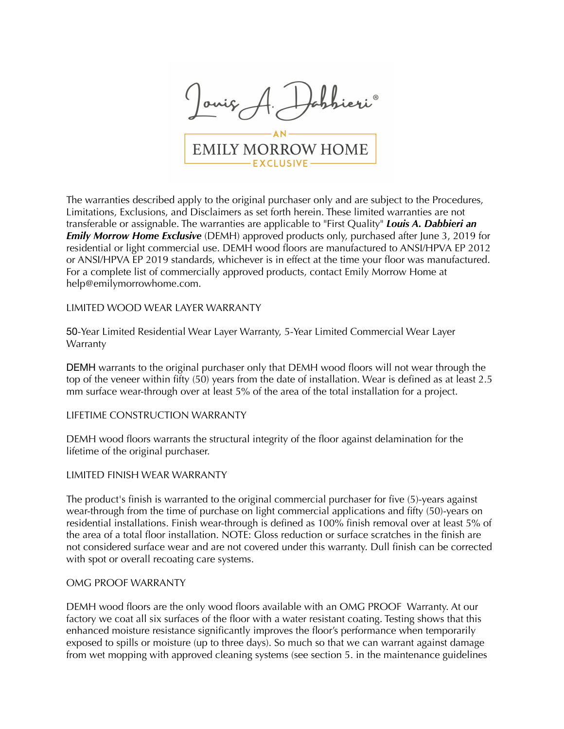

The warranties described apply to the original purchaser only and are subject to the Procedures, Limitations, Exclusions, and Disclaimers as set forth herein. These limited warranties are not transferable or assignable. The warranties are applicable to "First Quality" *Louis A. Dabbieri an*  **Emily Morrow Home Exclusive** (DEMH) approved products only, purchased after June 3, 2019 for residential or light commercial use. DEMH wood floors are manufactured to ANSI/HPVA EP 2012 or ANSI/HPVA EP 2019 standards, whichever is in effect at the time your floor was manufactured. For a complete list of commercially approved products, contact Emily Morrow Home at help@emilymorrowhome.com.

### LIMITED WOOD WEAR LAYER WARRANTY

50-Year Limited Residential Wear Layer Warranty, 5-Year Limited Commercial Wear Layer Warranty

DEMH warrants to the original purchaser only that DEMH wood floors will not wear through the top of the veneer within fifty (50) years from the date of installation. Wear is defined as at least 2.5 mm surface wear-through over at least 5% of the area of the total installation for a project.

### LIFETIME CONSTRUCTION WARRANTY

DEMH wood floors warrants the structural integrity of the floor against delamination for the lifetime of the original purchaser.

### LIMITED FINISH WEAR WARRANTY

The product's finish is warranted to the original commercial purchaser for five (5)-years against wear-through from the time of purchase on light commercial applications and fifty (50)-years on residential installations. Finish wear-through is defined as 100% finish removal over at least 5% of the area of a total floor installation. NOTE: Gloss reduction or surface scratches in the finish are not considered surface wear and are not covered under this warranty. Dull finish can be corrected with spot or overall recoating care systems.

#### OMG PROOF WARRANTY

DEMH wood floors are the only wood floors available with an OMG PROOF Warranty. At our factory we coat all six surfaces of the floor with a water resistant coating. Testing shows that this enhanced moisture resistance significantly improves the floor's performance when temporarily exposed to spills or moisture (up to three days). So much so that we can warrant against damage from wet mopping with approved cleaning systems (see section 5. in the maintenance guidelines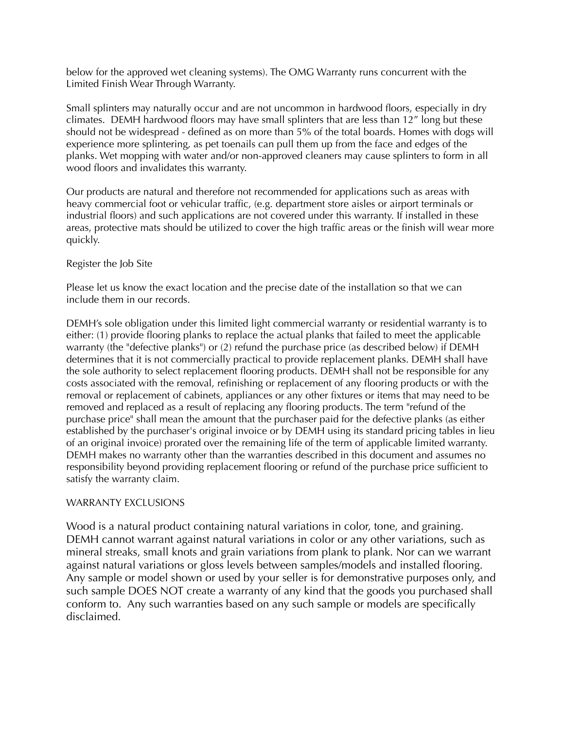below for the approved wet cleaning systems). The OMG Warranty runs concurrent with the Limited Finish Wear Through Warranty.

Small splinters may naturally occur and are not uncommon in hardwood floors, especially in dry climates. DEMH hardwood floors may have small splinters that are less than 12" long but these should not be widespread - defined as on more than 5% of the total boards. Homes with dogs will experience more splintering, as pet toenails can pull them up from the face and edges of the planks. Wet mopping with water and/or non-approved cleaners may cause splinters to form in all wood floors and invalidates this warranty.

Our products are natural and therefore not recommended for applications such as areas with heavy commercial foot or vehicular traffic, (e.g. department store aisles or airport terminals or industrial floors) and such applications are not covered under this warranty. If installed in these areas, protective mats should be utilized to cover the high traffic areas or the finish will wear more quickly.

# Register the Job Site

Please let us know the exact location and the precise date of the installation so that we can include them in our records.

DEMH's sole obligation under this limited light commercial warranty or residential warranty is to either: (1) provide flooring planks to replace the actual planks that failed to meet the applicable warranty (the "defective planks") or (2) refund the purchase price (as described below) if DEMH determines that it is not commercially practical to provide replacement planks. DEMH shall have the sole authority to select replacement flooring products. DEMH shall not be responsible for any costs associated with the removal, refinishing or replacement of any flooring products or with the removal or replacement of cabinets, appliances or any other fixtures or items that may need to be removed and replaced as a result of replacing any flooring products. The term "refund of the purchase price" shall mean the amount that the purchaser paid for the defective planks (as either established by the purchaser's original invoice or by DEMH using its standard pricing tables in lieu of an original invoice) prorated over the remaining life of the term of applicable limited warranty. DEMH makes no warranty other than the warranties described in this document and assumes no responsibility beyond providing replacement flooring or refund of the purchase price sufficient to satisfy the warranty claim.

# WARRANTY EXCLUSIONS

Wood is a natural product containing natural variations in color, tone, and graining. DEMH cannot warrant against natural variations in color or any other variations, such as mineral streaks, small knots and grain variations from plank to plank. Nor can we warrant against natural variations or gloss levels between samples/models and installed flooring. Any sample or model shown or used by your seller is for demonstrative purposes only, and such sample DOES NOT create a warranty of any kind that the goods you purchased shall conform to. Any such warranties based on any such sample or models are specifically disclaimed.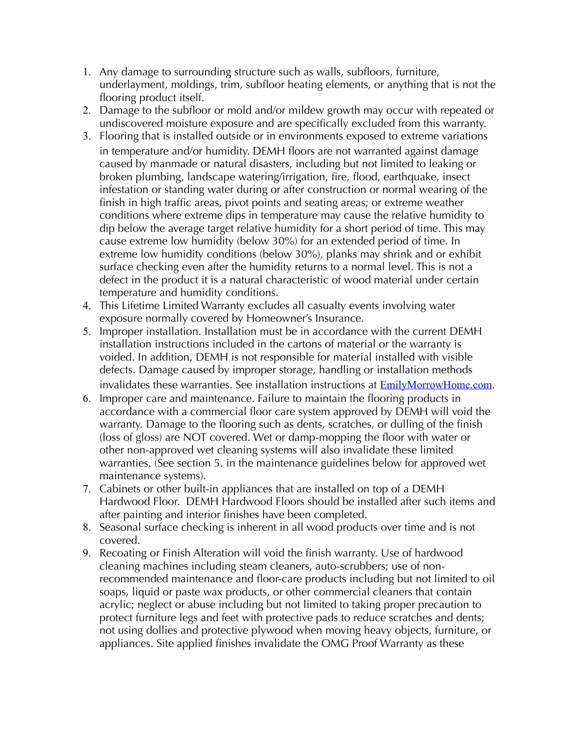- 1. Any damage to surrounding structure such as walls, subfloors, furniture, underlayment, moldings, trim, subfloor heating elements, or anything that is not the flooring product itself.
- 2. Damage to the subfloor or mold and/or mildew growth may occur with repeated or undiscovered moisture exposure and are specifically excluded from this warranty.
- 3. Flooring that is installed outside or in environments exposed to extreme variations in temperature and/or humidity. DEMH floors are not warranted against damage caused by manmade or natural disasters, including but not limited to leaking or broken plumbing, landscape watering/irrigation, fire, flood, earthquake, insect infestation or standing water during or after construction or normal wearing of the finish in high traffic areas, pivot points and seating areas; or extreme weather conditions where extreme dips in temperature may cause the relative humidity to dip below the average target relative humidity for a short period of time. This may cause extreme low humidity (below 30%) for an extended period of time. In extreme low humidity conditions (below 30%), planks may shrink and or exhibit surface checking even after the humidity returns to a normal level. This is not a defect in the product it is a natural characteristic of wood material under certain temperature and humidity conditions.
- 4. This Lifetime Limited Warranty excludes all casualty events involving water exposure normally covered by Homeowner's Insurance.
- 5. Improper installation. Installation must be in accordance with the current DEMH installation instructions included in the cartons of material or the warranty is voided. In addition, DEMH is not responsible for material installed with visible defects. Damage caused by improper storage, handling or installation methods invalidates these warranties. See installation instructions at **[EmilyMorrowHome.com](http://EmilyMorrowHome.com).**
- 6. Improper care and maintenance. Failure to maintain the flooring products in accordance with a commercial floor care system approved by DEMH will void the warranty. Damage to the flooring such as dents, scratches, or dulling of the finish (loss of gloss) are NOT covered. Wet or damp-mopping the floor with water or other non-approved wet cleaning systems will also invalidate these limited warranties. (See section 5. in the maintenance guidelines below for approved wet maintenance systems).
- 7. Cabinets or other built-in appliances that are installed on top of a DEMH Hardwood Floor. DEMH Hardwood Floors should be installed after such items and after painting and interior finishes have been completed.
- 8. Seasonal surface checking is inherent in all wood products over time and is not covered.
- 9. Recoating or Finish Alteration will void the finish warranty. Use of hardwood cleaning machines including steam cleaners, auto-scrubbers; use of nonrecommended maintenance and floor-care products including but not limited to oil soaps, liquid or paste wax products, or other commercial cleaners that contain acrylic; neglect or abuse including but not limited to taking proper precaution to protect furniture legs and feet with protective pads to reduce scratches and dents; not using dollies and protective plywood when moving heavy objects, furniture, or appliances. Site applied finishes invalidate the OMG Proof Warranty as these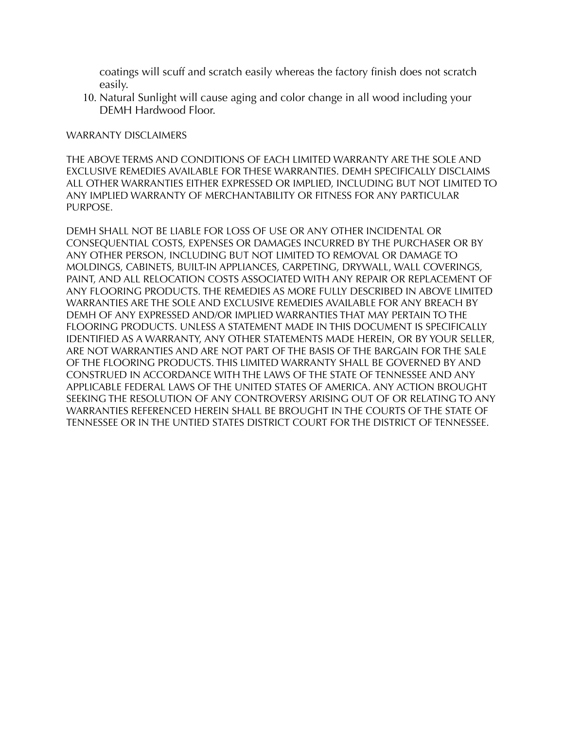coatings will scuff and scratch easily whereas the factory finish does not scratch easily.

10. Natural Sunlight will cause aging and color change in all wood including your DEMH Hardwood Floor.

### WARRANTY DISCLAIMERS

THE ABOVE TERMS AND CONDITIONS OF EACH LIMITED WARRANTY ARE THE SOLE AND EXCLUSIVE REMEDIES AVAILABLE FOR THESE WARRANTIES. DEMH SPECIFICALLY DISCLAIMS ALL OTHER WARRANTIES EITHER EXPRESSED OR IMPLIED, INCLUDING BUT NOT LIMITED TO ANY IMPLIED WARRANTY OF MERCHANTABILITY OR FITNESS FOR ANY PARTICULAR PURPOSE.

DEMH SHALL NOT BE LIABLE FOR LOSS OF USE OR ANY OTHER INCIDENTAL OR CONSEQUENTIAL COSTS, EXPENSES OR DAMAGES INCURRED BY THE PURCHASER OR BY ANY OTHER PERSON, INCLUDING BUT NOT LIMITED TO REMOVAL OR DAMAGE TO MOLDINGS, CABINETS, BUILT-IN APPLIANCES, CARPETING, DRYWALL, WALL COVERINGS, PAINT, AND ALL RELOCATION COSTS ASSOCIATED WITH ANY REPAIR OR REPLACEMENT OF ANY FLOORING PRODUCTS. THE REMEDIES AS MORE FULLY DESCRIBED IN ABOVE LIMITED WARRANTIES ARE THE SOLE AND EXCLUSIVE REMEDIES AVAILABLE FOR ANY BREACH BY DEMH OF ANY EXPRESSED AND/OR IMPLIED WARRANTIES THAT MAY PERTAIN TO THE FLOORING PRODUCTS. UNLESS A STATEMENT MADE IN THIS DOCUMENT IS SPECIFICALLY IDENTIFIED AS A WARRANTY, ANY OTHER STATEMENTS MADE HEREIN, OR BY YOUR SELLER, ARE NOT WARRANTIES AND ARE NOT PART OF THE BASIS OF THE BARGAIN FOR THE SALE OF THE FLOORING PRODUCTS. THIS LIMITED WARRANTY SHALL BE GOVERNED BY AND CONSTRUED IN ACCORDANCE WITH THE LAWS OF THE STATE OF TENNESSEE AND ANY APPLICABLE FEDERAL LAWS OF THE UNITED STATES OF AMERICA. ANY ACTION BROUGHT SEEKING THE RESOLUTION OF ANY CONTROVERSY ARISING OUT OF OR RELATING TO ANY WARRANTIES REFERENCED HEREIN SHALL BE BROUGHT IN THE COURTS OF THE STATE OF TENNESSEE OR IN THE UNTIED STATES DISTRICT COURT FOR THE DISTRICT OF TENNESSEE.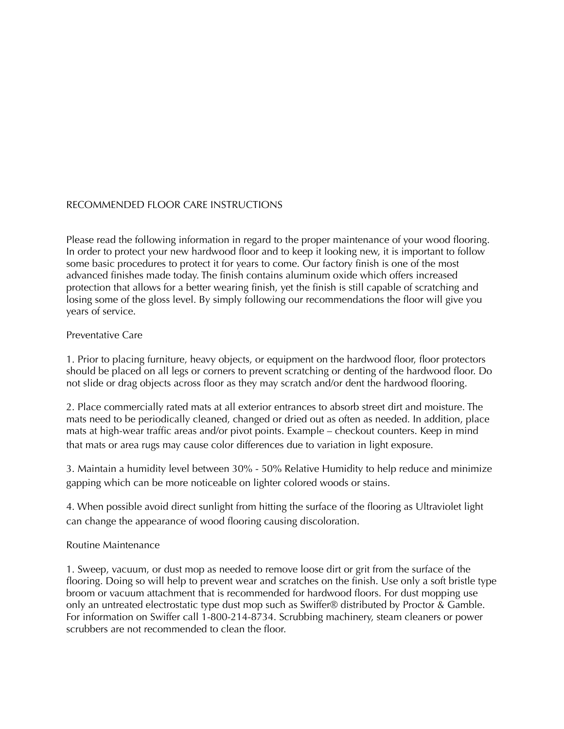# RECOMMENDED FLOOR CARE INSTRUCTIONS

Please read the following information in regard to the proper maintenance of your wood flooring. In order to protect your new hardwood floor and to keep it looking new, it is important to follow some basic procedures to protect it for years to come. Our factory finish is one of the most advanced finishes made today. The finish contains aluminum oxide which offers increased protection that allows for a better wearing finish, yet the finish is still capable of scratching and losing some of the gloss level. By simply following our recommendations the floor will give you years of service.

### Preventative Care

1. Prior to placing furniture, heavy objects, or equipment on the hardwood floor, floor protectors should be placed on all legs or corners to prevent scratching or denting of the hardwood floor. Do not slide or drag objects across floor as they may scratch and/or dent the hardwood flooring.

2. Place commercially rated mats at all exterior entrances to absorb street dirt and moisture. The mats need to be periodically cleaned, changed or dried out as often as needed. In addition, place mats at high-wear traffic areas and/or pivot points. Example – checkout counters. Keep in mind that mats or area rugs may cause color differences due to variation in light exposure.

3. Maintain a humidity level between 30% - 50% Relative Humidity to help reduce and minimize gapping which can be more noticeable on lighter colored woods or stains.

4. When possible avoid direct sunlight from hitting the surface of the flooring as Ultraviolet light can change the appearance of wood flooring causing discoloration.

# Routine Maintenance

1. Sweep, vacuum, or dust mop as needed to remove loose dirt or grit from the surface of the flooring. Doing so will help to prevent wear and scratches on the finish. Use only a soft bristle type broom or vacuum attachment that is recommended for hardwood floors. For dust mopping use only an untreated electrostatic type dust mop such as Swiffer® distributed by Proctor & Gamble. For information on Swiffer call 1-800-214-8734. Scrubbing machinery, steam cleaners or power scrubbers are not recommended to clean the floor.